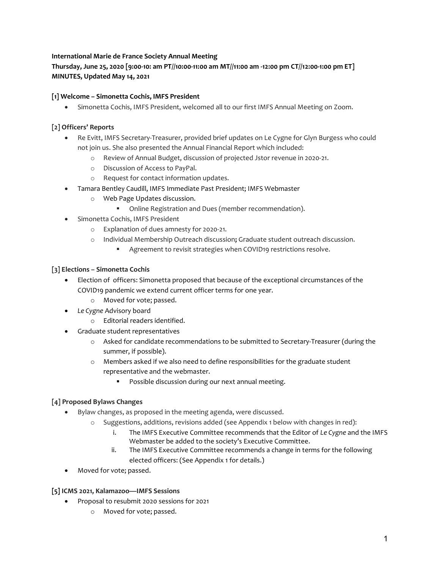## International Marie de France Society Annual Meeting

# Thursday, June 25, 2020 [9:00-10: am PT//10:00-11:00 am MT//11:00 am -12:00 pm CT//12:00-1:00 pm ET] MINUTES, Updated May 14, 2021

### [1] Welcome – Simonetta Cochis, IMFS President

Simonetta Cochis, IMFS President, welcomed all to our first IMFS Annual Meeting on Zoom.

## [2] Officers' Reports

- Re Evitt, IMFS Secretary-Treasurer, provided brief updates on Le Cygne for Glyn Burgess who could not join us. She also presented the Annual Financial Report which included:
	- o Review of Annual Budget, discussion of projected Jstor revenue in 2020-21.
	- o Discussion of Access to PayPal.
	- o Request for contact information updates.
- Tamara Bentley Caudill, IMFS Immediate Past President; IMFS Webmaster
	- o Web Page Updates discussion.
		- Online Registration and Dues (member recommendation).
- Simonetta Cochis, IMFS President
	- o Explanation of dues amnesty for 2020-21.
	- o Individual Membership Outreach discussion; Graduate student outreach discussion.
		- Agreement to revisit strategies when COVID19 restrictions resolve.

### [3] Elections – Simonetta Cochis

- Election of officers: Simonetta proposed that because of the exceptional circumstances of the COVID19 pandemic we extend current officer terms for one year.
	- o Moved for vote; passed.
- Le Cygne Advisory board
	- o Editorial readers identified.
- Graduate student representatives
	- o Asked for candidate recommendations to be submitted to Secretary-Treasurer (during the summer, if possible).
	- $\circ$  Members asked if we also need to define responsibilities for the graduate student representative and the webmaster.
		- Possible discussion during our next annual meeting.

## [4] Proposed Bylaws Changes

- Bylaw changes, as proposed in the meeting agenda, were discussed.
	- o Suggestions, additions, revisions added (see Appendix 1 below with changes in red):
		- i. The IMFS Executive Committee recommends that the Editor of Le Cygne and the IMFS Webmaster be added to the society's Executive Committee.
		- ii. The IMFS Executive Committee recommends a change in terms for the following elected officers: (See Appendix 1 for details.)
- Moved for vote; passed.

#### [5] ICMS 2021, Kalamazoo—IMFS Sessions

- Proposal to resubmit 2020 sessions for 2021
	- o Moved for vote; passed.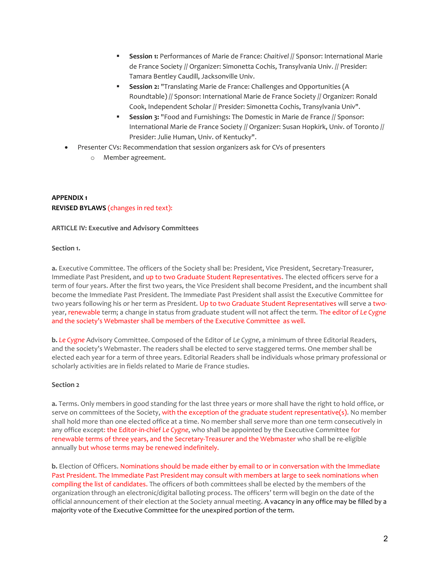- Session 1: Performances of Marie de France: Chaitivel // Sponsor: International Marie de France Society // Organizer: Simonetta Cochis, Transylvania Univ. // Presider: Tamara Bentley Caudill, Jacksonville Univ.
- Session 2: "Translating Marie de France: Challenges and Opportunities (A Roundtable) // Sponsor: International Marie de France Society // Organizer: Ronald Cook, Independent Scholar // Presider: Simonetta Cochis, Transylvania Univ".
- Session 3: "Food and Furnishings: The Domestic in Marie de France // Sponsor: International Marie de France Society // Organizer: Susan Hopkirk, Univ. of Toronto // Presider: Julie Human, Univ. of Kentucky".
- Presenter CVs: Recommendation that session organizers ask for CVs of presenters
	- o Member agreement.

## APPENDIX 1 REVISED BYLAWS (changes in red text):

#### ARTICLE IV: Executive and Advisory Committees

#### Section 1.

a. Executive Committee. The officers of the Society shall be: President, Vice President, Secretary-Treasurer, Immediate Past President, and up to two Graduate Student Representatives. The elected officers serve for a term of four years. After the first two years, the Vice President shall become President, and the incumbent shall become the Immediate Past President. The Immediate Past President shall assist the Executive Committee for two years following his or her term as President. Up to two Graduate Student Representatives will serve a twoyear, renewable term; a change in status from graduate student will not affect the term. The editor of Le Cygne and the society's Webmaster shall be members of the Executive Committee as well.

b. Le Cygne Advisory Committee. Composed of the Editor of Le Cygne, a minimum of three Editorial Readers, and the society's Webmaster. The readers shall be elected to serve staggered terms. One member shall be elected each year for a term of three years. Editorial Readers shall be individuals whose primary professional or scholarly activities are in fields related to Marie de France studies.

#### Section 2

a. Terms. Only members in good standing for the last three years or more shall have the right to hold office, or serve on committees of the Society, with the exception of the graduate student representative(s). No member shall hold more than one elected office at a time. No member shall serve more than one term consecutively in any office except: the Editor-in-chief Le Cygne, who shall be appointed by the Executive Committee for renewable terms of three years, and the Secretary-Treasurer and the Webmaster who shall be re-eligible annually but whose terms may be renewed indefinitely.

b. Election of Officers. Nominations should be made either by email to or in conversation with the Immediate Past President. The Immediate Past President may consult with members at large to seek nominations when compiling the list of candidates. The officers of both committees shall be elected by the members of the organization through an electronic/digital balloting process. The officers' term will begin on the date of the official announcement of their election at the Society annual meeting. A vacancy in any office may be filled by a majority vote of the Executive Committee for the unexpired portion of the term.